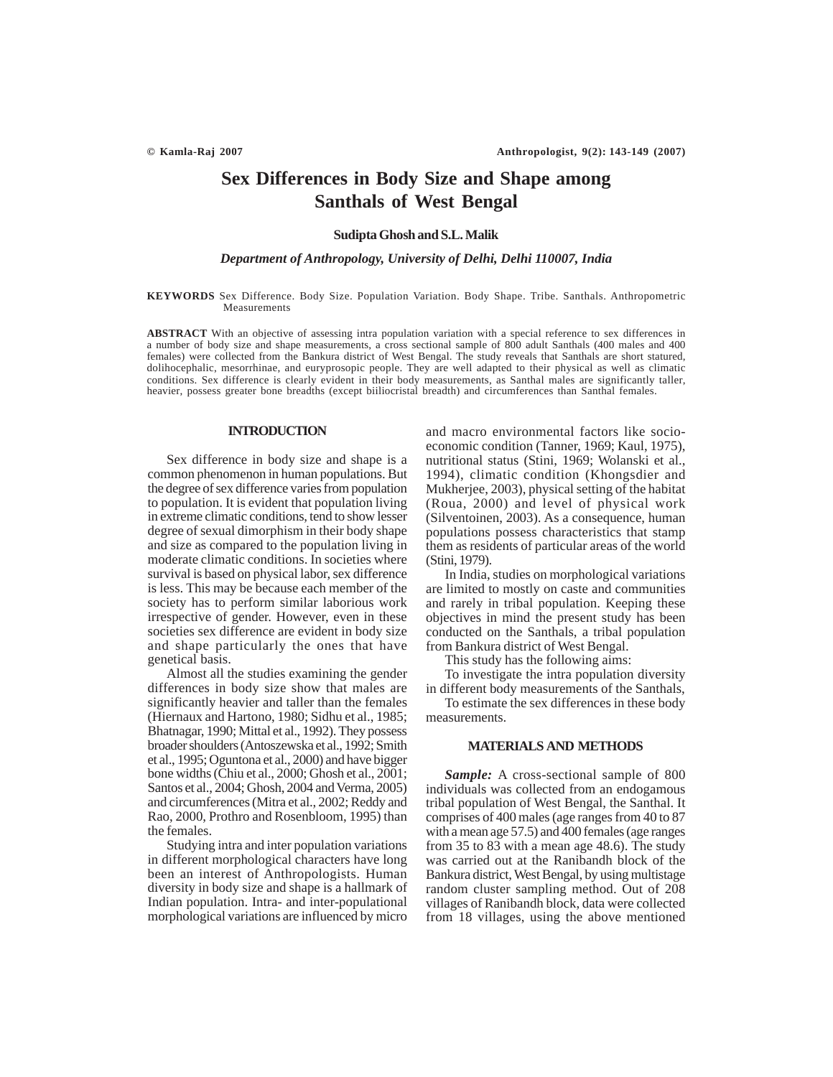# **Sex Differences in Body Size and Shape among Santhals of West Bengal**

# **Sudipta Ghosh and S.L. Malik**

*Department of Anthropology, University of Delhi, Delhi 110007, India*

#### **KEYWORDS** Sex Difference. Body Size. Population Variation. Body Shape. Tribe. Santhals. Anthropometric Measurements

**ABSTRACT** With an objective of assessing intra population variation with a special reference to sex differences in a number of body size and shape measurements, a cross sectional sample of 800 adult Santhals (400 males and 400 females) were collected from the Bankura district of West Bengal. The study reveals that Santhals are short statured, dolihocephalic, mesorrhinae, and euryprosopic people. They are well adapted to their physical as well as climatic conditions. Sex difference is clearly evident in their body measurements, as Santhal males are significantly taller, heavier, possess greater bone breadths (except biiliocristal breadth) and circumferences than Santhal females.

### **INTRODUCTION**

Sex difference in body size and shape is a common phenomenon in human populations. But the degree of sex difference varies from population to population. It is evident that population living in extreme climatic conditions, tend to show lesser degree of sexual dimorphism in their body shape and size as compared to the population living in moderate climatic conditions. In societies where survival is based on physical labor, sex difference is less. This may be because each member of the society has to perform similar laborious work irrespective of gender. However, even in these societies sex difference are evident in body size and shape particularly the ones that have genetical basis.

Almost all the studies examining the gender differences in body size show that males are significantly heavier and taller than the females (Hiernaux and Hartono, 1980; Sidhu et al., 1985; Bhatnagar, 1990; Mittal et al., 1992). They possess broader shoulders (Antoszewska et al., 1992; Smith et al., 1995; Oguntona et al., 2000) and have bigger bone widths (Chiu et al., 2000; Ghosh et al., 2001; Santos et al., 2004; Ghosh, 2004 and Verma, 2005) and circumferences (Mitra et al., 2002; Reddy and Rao, 2000, Prothro and Rosenbloom, 1995) than the females.

Studying intra and inter population variations in different morphological characters have long been an interest of Anthropologists. Human diversity in body size and shape is a hallmark of Indian population. Intra- and inter-populational morphological variations are influenced by micro and macro environmental factors like socioeconomic condition (Tanner, 1969; Kaul, 1975), nutritional status (Stini, 1969; Wolanski et al., 1994), climatic condition (Khongsdier and Mukherjee, 2003), physical setting of the habitat (Roua, 2000) and level of physical work (Silventoinen, 2003). As a consequence, human populations possess characteristics that stamp them as residents of particular areas of the world (Stini, 1979).

In India, studies on morphological variations are limited to mostly on caste and communities and rarely in tribal population. Keeping these objectives in mind the present study has been conducted on the Santhals, a tribal population from Bankura district of West Bengal.

This study has the following aims:

To investigate the intra population diversity in different body measurements of the Santhals,

To estimate the sex differences in these body measurements.

# **MATERIALS AND METHODS**

*Sample:* A cross-sectional sample of 800 individuals was collected from an endogamous tribal population of West Bengal, the Santhal. It comprises of 400 males (age ranges from 40 to 87 with a mean age 57.5) and 400 females (age ranges from 35 to 83 with a mean age 48.6). The study was carried out at the Ranibandh block of the Bankura district, West Bengal, by using multistage random cluster sampling method. Out of 208 villages of Ranibandh block, data were collected from 18 villages, using the above mentioned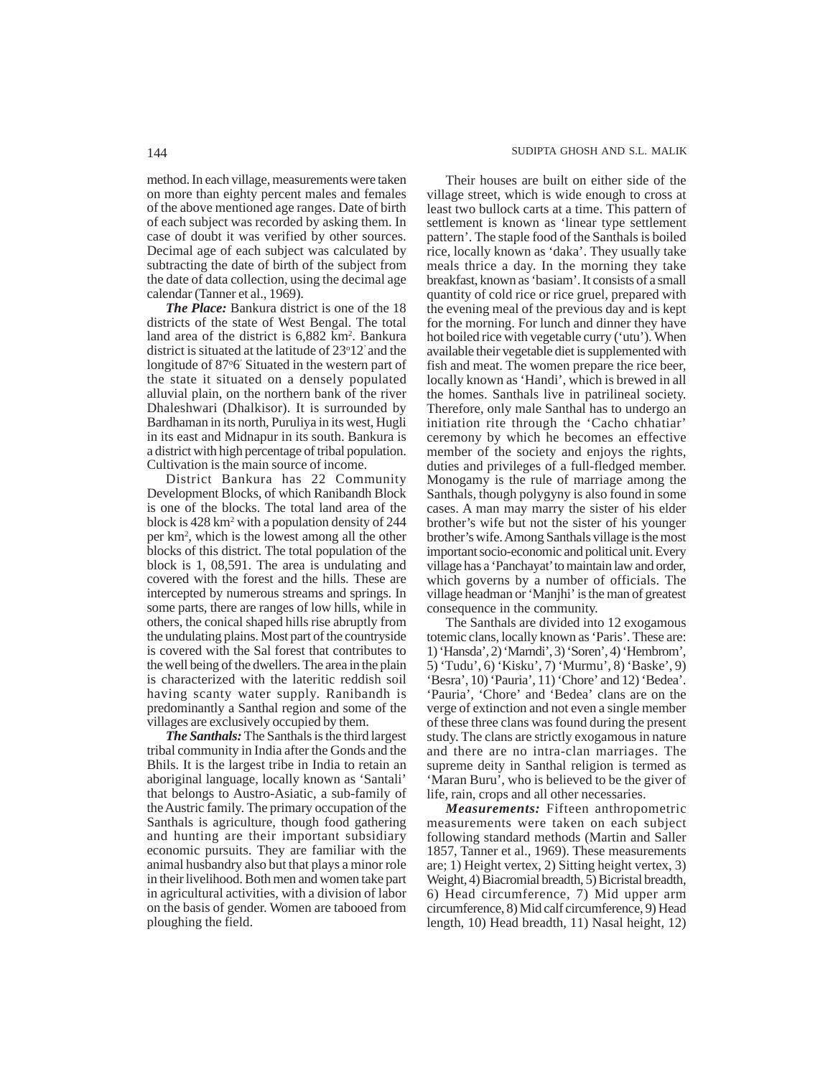method. In each village, measurements were taken on more than eighty percent males and females of the above mentioned age ranges. Date of birth of each subject was recorded by asking them. In case of doubt it was verified by other sources. Decimal age of each subject was calculated by subtracting the date of birth of the subject from the date of data collection, using the decimal age calendar (Tanner et al., 1969).

*The Place:* Bankura district is one of the 18 districts of the state of West Bengal. The total land area of the district is 6,882 km<sup>2</sup>. Bankura district is situated at the latitude of 23°12' and the longitude of 87°6' Situated in the western part of the state it situated on a densely populated alluvial plain, on the northern bank of the river Dhaleshwari (Dhalkisor). It is surrounded by Bardhaman in its north, Puruliya in its west, Hugli in its east and Midnapur in its south. Bankura is a district with high percentage of tribal population. Cultivation is the main source of income.

District Bankura has 22 Community Development Blocks, of which Ranibandh Block is one of the blocks. The total land area of the block is  $428 \text{ km}^2$  with a population density of  $244$ per km2 , which is the lowest among all the other blocks of this district. The total population of the block is 1, 08,591. The area is undulating and covered with the forest and the hills. These are intercepted by numerous streams and springs. In some parts, there are ranges of low hills, while in others, the conical shaped hills rise abruptly from the undulating plains. Most part of the countryside is covered with the Sal forest that contributes to the well being of the dwellers. The area in the plain is characterized with the lateritic reddish soil having scanty water supply. Ranibandh is predominantly a Santhal region and some of the villages are exclusively occupied by them.

*The Santhals:* The Santhals is the third largest tribal community in India after the Gonds and the Bhils. It is the largest tribe in India to retain an aboriginal language, locally known as 'Santali' that belongs to Austro-Asiatic, a sub-family of the Austric family. The primary occupation of the Santhals is agriculture, though food gathering and hunting are their important subsidiary economic pursuits. They are familiar with the animal husbandry also but that plays a minor role in their livelihood. Both men and women take part in agricultural activities, with a division of labor on the basis of gender. Women are tabooed from ploughing the field.

Their houses are built on either side of the village street, which is wide enough to cross at least two bullock carts at a time. This pattern of settlement is known as 'linear type settlement pattern'. The staple food of the Santhals is boiled rice, locally known as 'daka'. They usually take meals thrice a day. In the morning they take breakfast, known as 'basiam'. It consists of a small quantity of cold rice or rice gruel, prepared with the evening meal of the previous day and is kept for the morning. For lunch and dinner they have hot boiled rice with vegetable curry ('utu'). When available their vegetable diet is supplemented with fish and meat. The women prepare the rice beer, locally known as 'Handi', which is brewed in all the homes. Santhals live in patrilineal society. Therefore, only male Santhal has to undergo an initiation rite through the 'Cacho chhatiar' ceremony by which he becomes an effective member of the society and enjoys the rights, duties and privileges of a full-fledged member. Monogamy is the rule of marriage among the Santhals, though polygyny is also found in some cases. A man may marry the sister of his elder brother's wife but not the sister of his younger brother's wife. Among Santhals village is the most important socio-economic and political unit. Every village has a 'Panchayat' to maintain law and order, which governs by a number of officials. The village headman or 'Manjhi' is the man of greatest consequence in the community.

The Santhals are divided into 12 exogamous totemic clans, locally known as 'Paris'. These are: 1) 'Hansda', 2) 'Marndi', 3) 'Soren', 4) 'Hembrom', 5) 'Tudu', 6) 'Kisku', 7) 'Murmu', 8) 'Baske', 9) 'Besra', 10) 'Pauria', 11) 'Chore' and 12) 'Bedea'. 'Pauria', 'Chore' and 'Bedea' clans are on the verge of extinction and not even a single member of these three clans was found during the present study. The clans are strictly exogamous in nature and there are no intra-clan marriages. The supreme deity in Santhal religion is termed as 'Maran Buru', who is believed to be the giver of life, rain, crops and all other necessaries.

*Measurements:* Fifteen anthropometric measurements were taken on each subject following standard methods (Martin and Saller 1857, Tanner et al., 1969). These measurements are; 1) Height vertex, 2) Sitting height vertex, 3) Weight, 4) Biacromial breadth, 5) Bicristal breadth, 6) Head circumference, 7) Mid upper arm circumference, 8) Mid calf circumference, 9) Head length, 10) Head breadth, 11) Nasal height, 12)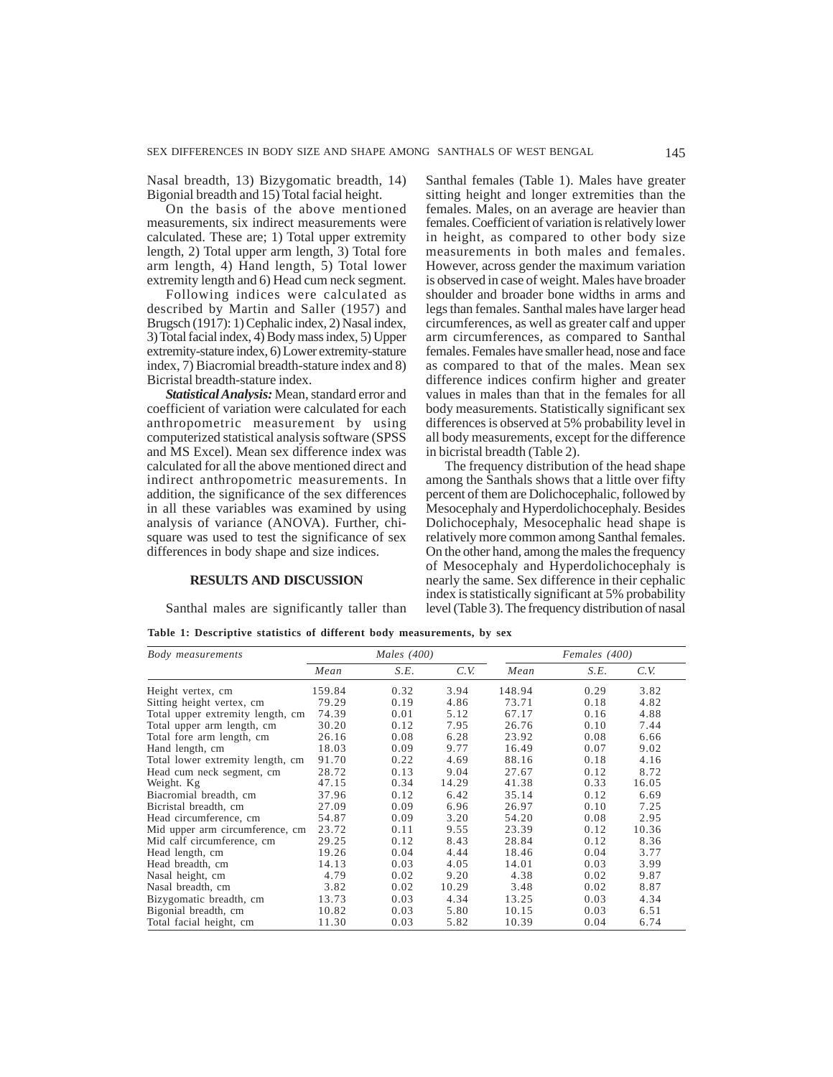Nasal breadth, 13) Bizygomatic breadth, 14) Bigonial breadth and 15) Total facial height.

On the basis of the above mentioned measurements, six indirect measurements were calculated. These are; 1) Total upper extremity length, 2) Total upper arm length, 3) Total fore arm length, 4) Hand length, 5) Total lower extremity length and 6) Head cum neck segment.

Following indices were calculated as described by Martin and Saller (1957) and Brugsch (1917): 1) Cephalic index, 2) Nasal index, 3) Total facial index, 4) Body mass index, 5) Upper extremity-stature index, 6) Lower extremity-stature index, 7) Biacromial breadth-stature index and 8) Bicristal breadth-stature index.

*Statistical Analysis:* Mean, standard error and coefficient of variation were calculated for each anthropometric measurement by using computerized statistical analysis software (SPSS and MS Excel). Mean sex difference index was calculated for all the above mentioned direct and indirect anthropometric measurements. In addition, the significance of the sex differences in all these variables was examined by using analysis of variance (ANOVA). Further, chisquare was used to test the significance of sex differences in body shape and size indices.

## **RESULTS AND DISCUSSION**

Santhal males are significantly taller than

Santhal females (Table 1). Males have greater sitting height and longer extremities than the females. Males, on an average are heavier than females. Coefficient of variation is relatively lower in height, as compared to other body size measurements in both males and females. However, across gender the maximum variation is observed in case of weight. Males have broader shoulder and broader bone widths in arms and legs than females. Santhal males have larger head circumferences, as well as greater calf and upper arm circumferences, as compared to Santhal females. Females have smaller head, nose and face as compared to that of the males. Mean sex difference indices confirm higher and greater values in males than that in the females for all body measurements. Statistically significant sex differences is observed at 5% probability level in all body measurements, except for the difference in bicristal breadth (Table 2).

The frequency distribution of the head shape among the Santhals shows that a little over fifty percent of them are Dolichocephalic, followed by Mesocephaly and Hyperdolichocephaly. Besides Dolichocephaly, Mesocephalic head shape is relatively more common among Santhal females. On the other hand, among the males the frequency of Mesocephaly and Hyperdolichocephaly is nearly the same. Sex difference in their cephalic index is statistically significant at 5% probability level (Table 3). The frequency distribution of nasal

**Table 1: Descriptive statistics of different body measurements, by sex**

| Body measurements                |        | Males $(400)$ |       |        | Females (400) |       |  |
|----------------------------------|--------|---------------|-------|--------|---------------|-------|--|
|                                  | Mean   | S.E.          | C.V.  | Mean   | S.E.          | C.V.  |  |
| Height vertex, cm                | 159.84 | 0.32          | 3.94  | 148.94 | 0.29          | 3.82  |  |
| Sitting height vertex, cm        | 79.29  | 0.19          | 4.86  | 73.71  | 0.18          | 4.82  |  |
| Total upper extremity length, cm | 74.39  | 0.01          | 5.12  | 67.17  | 0.16          | 4.88  |  |
| Total upper arm length, cm       | 30.20  | 0.12          | 7.95  | 26.76  | 0.10          | 7.44  |  |
| Total fore arm length, cm        | 26.16  | 0.08          | 6.28  | 23.92  | 0.08          | 6.66  |  |
| Hand length, cm                  | 18.03  | 0.09          | 9.77  | 16.49  | 0.07          | 9.02  |  |
| Total lower extremity length, cm | 91.70  | 0.22          | 4.69  | 88.16  | 0.18          | 4.16  |  |
| Head cum neck segment, cm        | 28.72  | 0.13          | 9.04  | 27.67  | 0.12          | 8.72  |  |
| Weight. Kg                       | 47.15  | 0.34          | 14.29 | 41.38  | 0.33          | 16.05 |  |
| Biacromial breadth, cm           | 37.96  | 0.12          | 6.42  | 35.14  | 0.12          | 6.69  |  |
| Bicristal breadth, cm            | 27.09  | 0.09          | 6.96  | 26.97  | 0.10          | 7.25  |  |
| Head circumference, cm           | 54.87  | 0.09          | 3.20  | 54.20  | 0.08          | 2.95  |  |
| Mid upper arm circumference, cm  | 23.72  | 0.11          | 9.55  | 23.39  | 0.12          | 10.36 |  |
| Mid calf circumference, cm       | 29.25  | 0.12          | 8.43  | 28.84  | 0.12          | 8.36  |  |
| Head length, cm                  | 19.26  | 0.04          | 4.44  | 18.46  | 0.04          | 3.77  |  |
| Head breadth, cm                 | 14.13  | 0.03          | 4.05  | 14.01  | 0.03          | 3.99  |  |
| Nasal height, cm                 | 4.79   | 0.02          | 9.20  | 4.38   | 0.02          | 9.87  |  |
| Nasal breadth, cm                | 3.82   | 0.02          | 10.29 | 3.48   | 0.02          | 8.87  |  |
| Bizygomatic breadth, cm          | 13.73  | 0.03          | 4.34  | 13.25  | 0.03          | 4.34  |  |
| Bigonial breadth, cm             | 10.82  | 0.03          | 5.80  | 10.15  | 0.03          | 6.51  |  |
| Total facial height, cm          | 11.30  | 0.03          | 5.82  | 10.39  | 0.04          | 6.74  |  |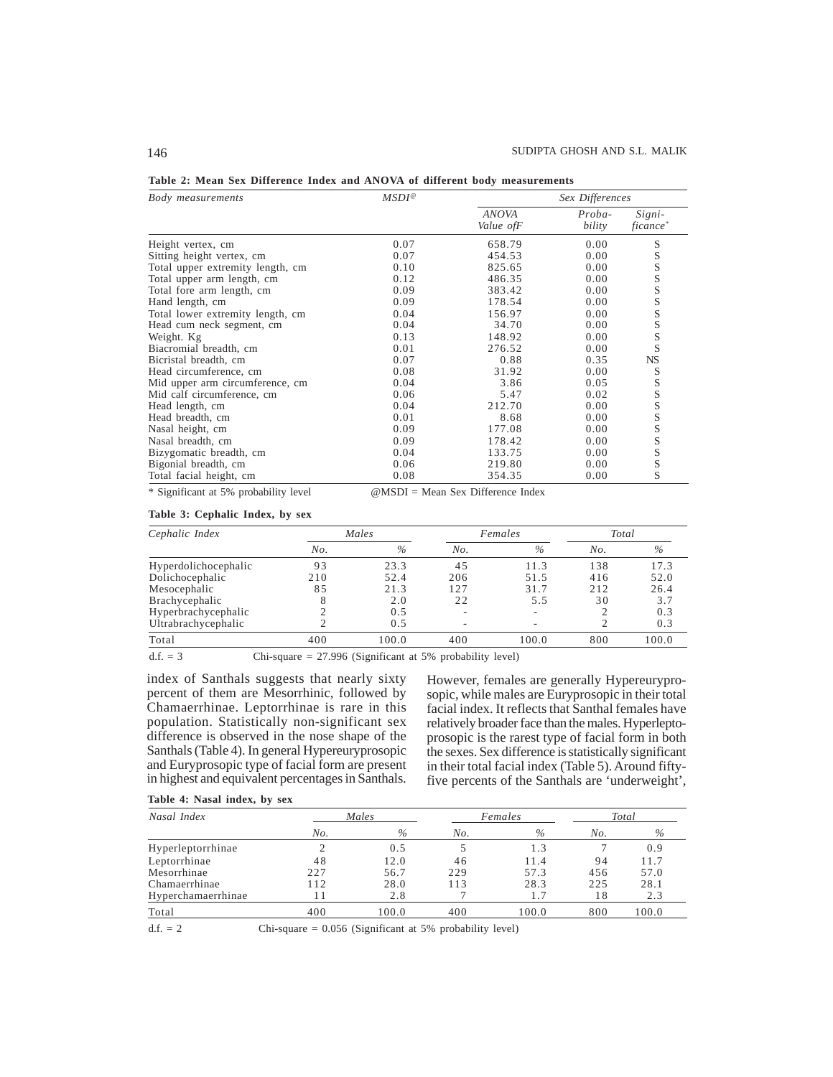| Body measurements                | $MSDI^@$ | Sex Differences            |                  |                                |  |
|----------------------------------|----------|----------------------------|------------------|--------------------------------|--|
|                                  |          | <b>ANOVA</b><br>Value of F | Proba-<br>bility | Signi-<br>ficance <sup>*</sup> |  |
| Height vertex, cm                | 0.07     | 658.79                     | 0.00             | S                              |  |
| Sitting height vertex, cm        | 0.07     | 454.53                     | 0.00             | S                              |  |
| Total upper extremity length, cm | 0.10     | 825.65                     | 0.00             | S                              |  |
| Total upper arm length, cm       | 0.12     | 486.35                     | 0.00             | S                              |  |
| Total fore arm length, cm        | 0.09     | 383.42                     | 0.00             | S                              |  |
| Hand length, cm                  | 0.09     | 178.54                     | 0.00             | S                              |  |
| Total lower extremity length, cm | 0.04     | 156.97                     | 0.00             | S                              |  |
| Head cum neck segment, cm        | 0.04     | 34.70                      | 0.00             |                                |  |
| Weight. Kg                       | 0.13     | 148.92                     | 0.00             | S<br>S<br>S                    |  |
| Biacromial breadth, cm           | 0.01     | 276.52                     | 0.00             |                                |  |
| Bicristal breadth, cm            | 0.07     | 0.88                       | 0.35             | NS                             |  |
| Head circumference, cm           | 0.08     | 31.92                      | 0.00             |                                |  |
| Mid upper arm circumference, cm  | 0.04     | 3.86                       | 0.05             |                                |  |
| Mid calf circumference, cm       | 0.06     | 5.47                       | 0.02             |                                |  |
| Head length, cm                  | 0.04     | 212.70                     | 0.00             | S<br>S<br>S<br>S<br>S          |  |
| Head breadth, cm                 | 0.01     | 8.68                       | 0.00             |                                |  |
| Nasal height, cm                 | 0.09     | 177.08                     | 0.00             | S                              |  |
| Nasal breadth, cm                | 0.09     | 178.42                     | 0.00             | S                              |  |
| Bizygomatic breadth, cm          | 0.04     | 133.75                     | 0.00             | S                              |  |
| Bigonial breadth, cm             | 0.06     | 219.80                     | 0.00             | S                              |  |
| Total facial height, cm          | 0.08     | 354.35                     | 0.00             | S                              |  |

| Table 2: Mean Sex Difference Index and ANOVA of different body measurements |  |  |  |  |  |  |  |  |  |  |  |  |
|-----------------------------------------------------------------------------|--|--|--|--|--|--|--|--|--|--|--|--|
|-----------------------------------------------------------------------------|--|--|--|--|--|--|--|--|--|--|--|--|

\* Significant at 5% probability level @MSDI = Mean Sex Difference Index

# **Table 3: Cephalic Index, by sex**

| Cephalic Index       |     | Males |     | Females | Total |       |
|----------------------|-----|-------|-----|---------|-------|-------|
|                      | No. | $\%$  | No. | $\%$    | No.   | $\%$  |
| Hyperdolichocephalic | 93  | 23.3  | 4.5 | 11.3    | 138   | 17.3  |
| Dolichocephalic      | 210 | 52.4  | 206 | 51.5    | 416   | 52.0  |
| Mesocephalic         | 85  | 21.3  | 127 | 31.7    | 212   | 26.4  |
| Brachycephalic       | 8   | 2.0   | 22  | 5.5     | 30    | 3.7   |
| Hyperbrachycephalic  | ↑   | 0.5   |     |         |       | 0.3   |
| Ultrabrachycephalic  |     | 0.5   |     |         |       | 0.3   |
| Total                | 400 | 100.0 | 400 | 100.0   | 800   | 100.0 |

d.f. = 3 Chi-square = 27.996 (Significant at 5% probability level)

index of Santhals suggests that nearly sixty percent of them are Mesorrhinic, followed by Chamaerrhinae. Leptorrhinae is rare in this population. Statistically non-significant sex difference is observed in the nose shape of the Santhals (Table 4). In general Hypereuryprosopic and Euryprosopic type of facial form are present in highest and equivalent percentages in Santhals.

However, females are generally Hypereuryprosopic, while males are Euryprosopic in their total facial index. It reflects that Santhal females have relatively broader face than the males. Hyperleptoprosopic is the rarest type of facial form in both the sexes. Sex difference is statistically significant in their total facial index (Table 5). Around fiftyfive percents of the Santhals are 'underweight',

|  |  |  | Table 4: Nasal index, by sex |  |  |
|--|--|--|------------------------------|--|--|
|--|--|--|------------------------------|--|--|

| Nasal Index        | Males |       |     | Females | Total |       |
|--------------------|-------|-------|-----|---------|-------|-------|
|                    | No.   | $\%$  | No. | $\%$    | No.   | $\%$  |
| Hyperleptorrhinae  |       | 0.5   |     | 1.3     |       | 0.9   |
| Leptorrhinae       | 48    | 12.0  | 46  | 11.4    | 94    | 11.7  |
| Mesorrhinae        | 227   | 56.7  | 229 | 57.3    | 456   | 57.0  |
| Chamaerrhinae      | 112   | 28.0  | 113 | 28.3    | 225   | 28.1  |
| Hyperchamaerrhinae |       | 2.8   |     | 1.7     | 18    | 2.3   |
| Total              | 400   | 100.0 | 400 | 100.0   | 800   | 100.0 |

d.f.  $= 2$  Chi-square  $= 0.056$  (Significant at 5% probability level)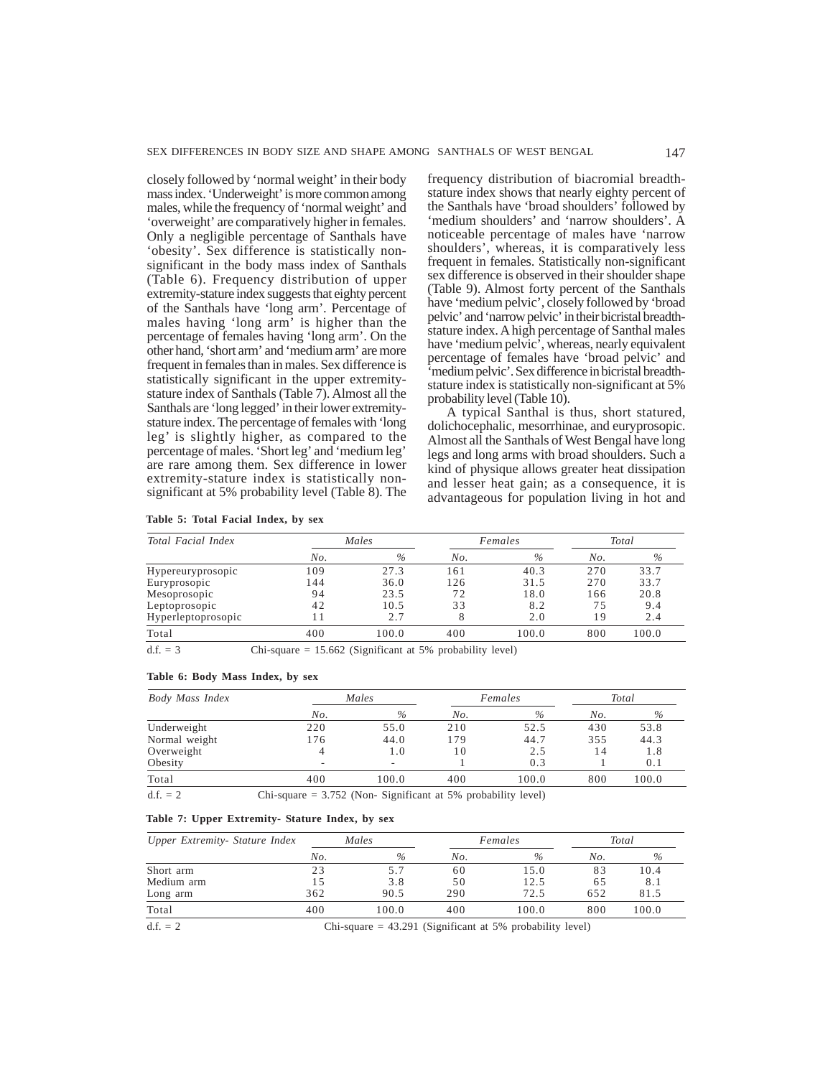closely followed by 'normal weight' in their body mass index. 'Underweight' is more common among males, while the frequency of 'normal weight' and 'overweight' are comparatively higher in females. Only a negligible percentage of Santhals have 'obesity'. Sex difference is statistically nonsignificant in the body mass index of Santhals (Table 6). Frequency distribution of upper extremity-stature index suggests that eighty percent of the Santhals have 'long arm'. Percentage of males having 'long arm' is higher than the percentage of females having 'long arm'. On the other hand, 'short arm' and 'medium arm' are more frequent in females than in males. Sex difference is statistically significant in the upper extremitystature index of Santhals (Table 7). Almost all the Santhals are 'long legged' in their lower extremitystature index. The percentage of females with 'long leg' is slightly higher, as compared to the percentage of males. 'Short leg' and 'medium leg' are rare among them. Sex difference in lower extremity-stature index is statistically nonsignificant at 5% probability level (Table 8). The frequency distribution of biacromial breadthstature index shows that nearly eighty percent of the Santhals have 'broad shoulders' followed by 'medium shoulders' and 'narrow shoulders'. A noticeable percentage of males have 'narrow shoulders', whereas, it is comparatively less frequent in females. Statistically non-significant sex difference is observed in their shoulder shape (Table 9). Almost forty percent of the Santhals have 'medium pelvic', closely followed by 'broad pelvic' and 'narrow pelvic' in their bicristal breadthstature index. A high percentage of Santhal males have 'medium pelvic', whereas, nearly equivalent percentage of females have 'broad pelvic' and 'medium pelvic'. Sex difference in bicristal breadthstature index is statistically non-significant at 5% probability level (Table 10).

A typical Santhal is thus, short statured, dolichocephalic, mesorrhinae, and euryprosopic. Almost all the Santhals of West Bengal have long legs and long arms with broad shoulders. Such a kind of physique allows greater heat dissipation and lesser heat gain; as a consequence, it is advantageous for population living in hot and

| Total Facial Index |     | Males |     | Females |     | Total |
|--------------------|-----|-------|-----|---------|-----|-------|
|                    | No. | $\%$  | No. | $\%$    | No. | $\%$  |
| Hypereuryprosopic  | 09  | 27.3  | 161 | 40.3    | 270 | 33.7  |
| Euryprosopic       | 44  | 36.0  | 126 | 31.5    | 270 | 33.7  |
| Mesoprosopic       | 94  | 23.5  | 72  | 18.0    | 166 | 20.8  |
| Leptoprosopic      | 42  | 10.5  | 33  | 8.2     | 75  | 9.4   |
| Hyperleptoprosopic |     | 2.7   |     | 2.0     | 19  | 2.4   |
| Total              | 400 | 100.0 | 400 | 100.0   | 800 | 100.0 |

 $d.f. = 3$  Chi-square = 15.662 (Significant at 5% probability level)

#### **Table 6: Body Mass Index, by sex**

| Body Mass Index |                          | Males                    |                                                 | Females |     | Total |
|-----------------|--------------------------|--------------------------|-------------------------------------------------|---------|-----|-------|
|                 | No.                      | $\%$                     | No.                                             | $\%$    | No. | $\%$  |
| Underweight     | 220                      | 55.0                     | 210                                             | 52.5    | 430 | 53.8  |
| Normal weight   | 176                      | 44.0                     | 179                                             | 44.7    | 355 | 44.3  |
| Overweight      |                          | 1.0                      | 10                                              | 2.5     | 14  | 1.8   |
| Obesity         | $\overline{\phantom{a}}$ | $\overline{\phantom{a}}$ |                                                 | 0.3     |     | 0.1   |
| Total           | 400                      | 100.0                    | 400                                             | 100.0   | 800 | 100.0 |
| .               |                          |                          | the contract of the contract of the contract of |         |     |       |

 $d.f. = 2$  Chi-square = 3.752 (Non- Significant at 5% probability level)

# **Table 7: Upper Extremity- Stature Index, by sex**

| Upper Extremity- Stature Index | Males |       | Females |                                                             | Total |       |
|--------------------------------|-------|-------|---------|-------------------------------------------------------------|-------|-------|
|                                | No.   | $\%$  | No.     | $\%$                                                        | No.   | $\%$  |
| Short arm                      | 23    |       | 60      | 15.0                                                        | 83    | 10.4  |
| Medium arm                     | 15    | 3.8   | 50      | 12.5                                                        | 65    | 8.1   |
| Long arm                       | 362   | 90.5  | 290     | 72.5                                                        | 652   | 81.5  |
| Total                          | 400   | 100.0 | 400     | 100.0                                                       | 800   | 100.0 |
| $d.f. = 2$                     |       |       |         | Chi-square $= 43.291$ (Significant at 5% probability level) |       |       |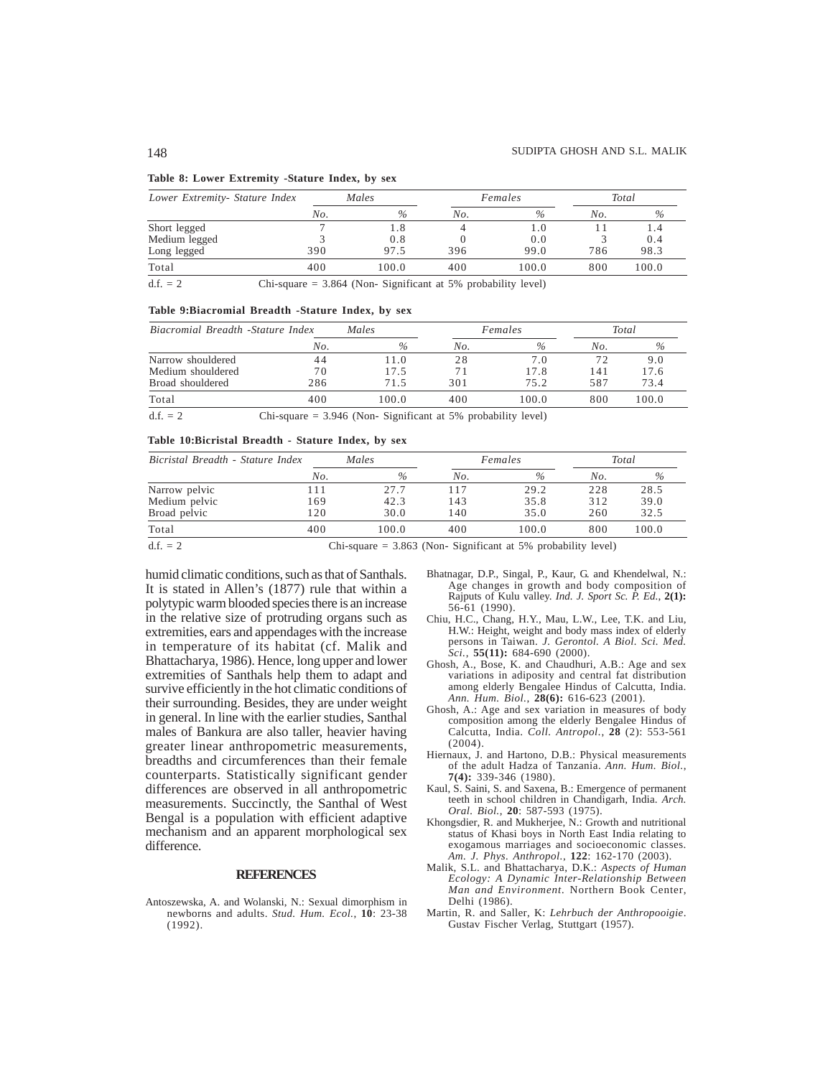#### **Table 8: Lower Extremity -Stature Index, by sex**

| Lower Extremity- Stature Index |     | Males |     | Females |     | Total |
|--------------------------------|-----|-------|-----|---------|-----|-------|
|                                | No. | $\%$  | No. | $\%$    | No. | $\%$  |
| Short legged                   |     | l.8   |     | l .O    |     |       |
| Medium legged                  |     | 0.8   |     | 0.0     |     | 0.4   |
| Long legged                    | 390 | 97.5  | 396 | 99.0    | 786 | 98.3  |
| Total                          | 400 | 100.0 | 400 | 100.0   | 800 | 100.0 |
|                                |     |       |     |         |     |       |

 $d.f. = 2$  Chi-square = 3.864 (Non- Significant at 5% probability level)

#### **Table 9:Biacromial Breadth -Stature Index, by sex**

| Biacromial Breadth -Stature Index |     | Males |     | Females       |     | Total |
|-----------------------------------|-----|-------|-----|---------------|-----|-------|
|                                   | No. | $\%$  | No. | $\frac{0}{2}$ | No. | $\%$  |
| Narrow shouldered                 | 44  | 11.0  | 28  | 7.0           |     | 9.0   |
| Medium shouldered                 | 70  | 17.5  |     | 17.8          | 141 | 17.6  |
| Broad shouldered                  | 286 | 71.5  | 301 | 75.2          | 587 | 73.4  |
| Total                             | 400 | 0.001 | 400 | 100.0         | 800 | 100.0 |

 $d.f. = 2$  Chi-square = 3.946 (Non- Significant at 5% probability level)

#### **Table 10:Bicristal Breadth - Stature Index, by sex**

| Bicristal Breadth - Stature Index | Males |               | Females |       | Total |       |
|-----------------------------------|-------|---------------|---------|-------|-------|-------|
|                                   | No.   | $\frac{0}{0}$ | No.     | $\%$  | No.   | $\%$  |
| Narrow pelvic                     | 11    | 27.7          | 117     | 29.2  | 228   | 28.5  |
| Medium pelvic                     | 169   | 42.3          | 143     | 35.8  | 312   | 39.0  |
| Broad pelvic                      | 120   | 30.0          | 140     | 35.0  | 260   | 32.5  |
| Total                             | 400   | 100.0         | 400     | 100.0 | 800   | 100.0 |

d.f. = 2 Chi-square = 3.863 (Non- Significant at 5% probability level)

humid climatic conditions, such as that of Santhals. It is stated in Allen's (1877) rule that within a polytypic warm blooded species there is an increase in the relative size of protruding organs such as extremities, ears and appendages with the increase in temperature of its habitat (cf. Malik and Bhattacharya, 1986). Hence, long upper and lower extremities of Santhals help them to adapt and survive efficiently in the hot climatic conditions of their surrounding. Besides, they are under weight in general. In line with the earlier studies, Santhal males of Bankura are also taller, heavier having greater linear anthropometric measurements, breadths and circumferences than their female counterparts. Statistically significant gender differences are observed in all anthropometric measurements. Succinctly, the Santhal of West Bengal is a population with efficient adaptive mechanism and an apparent morphological sex difference.

# **REFERENCES**

Antoszewska, A. and Wolanski, N.: Sexual dimorphism in newborns and adults. *Stud. Hum. Ecol.*, **10**: 23-38 (1992).

- Bhatnagar, D.P., Singal, P., Kaur, G. and Khendelwal, N.: Age changes in growth and body composition of Rajputs of Kulu valley. *Ind. J. Sport Sc. P. Ed.*, **2(1):** 56-61 (1990).
- Chiu, H.C., Chang, H.Y., Mau, L.W., Lee, T.K. and Liu, H.W.: Height, weight and body mass index of elderly persons in Taiwan. *J. Gerontol. A Biol. Sci. Med. Sci.*, **55(11):** 684-690 (2000).
- Ghosh, A., Bose, K. and Chaudhuri, A.B.: Age and sex variations in adiposity and central fat distribution among elderly Bengalee Hindus of Calcutta, India. *Ann. Hum. Biol.*, **28(6):** 616-623 (2001).
- Ghosh, A.: Age and sex variation in measures of body composition among the elderly Bengalee Hindus of Calcutta, India. *Coll. Antropol.*, **28** (2): 553-561 (2004).
- Hiernaux, J. and Hartono, D.B.: Physical measurements of the adult Hadza of Tanzania. *Ann. Hum. Biol.*, **7(4):** 339-346 (1980).
- Kaul, S. Saini, S. and Saxena, B.: Emergence of permanent teeth in school children in Chandigarh, India. *Arch. Oral. Biol.*, **20**: 587-593 (1975).
- Khongsdier, R. and Mukherjee, N.: Growth and nutritional status of Khasi boys in North East India relating to exogamous marriages and socioeconomic classes. *Am. J. Phys. Anthropol.*, **122**: 162-170 (2003).
- Malik, S.L. and Bhattacharya, D.K.: *Aspects of Human Ecology: A Dynamic Inter-Relationship Between Man and Environment.* Northern Book Center, Delhi (1986).
- Martin, R. and Saller, K: *Lehrbuch der Anthropooigie*. Gustav Fischer Verlag, Stuttgart (1957).